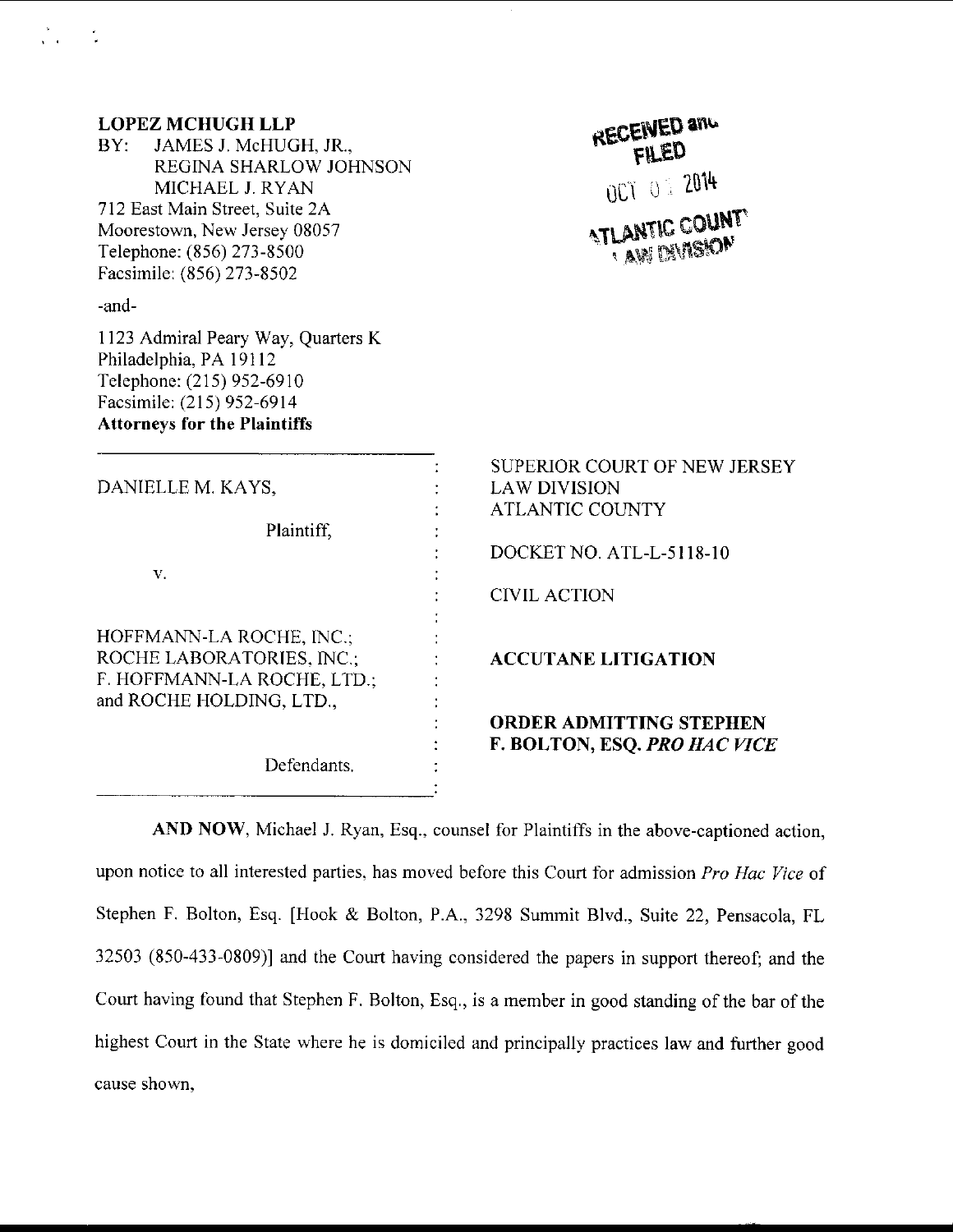| <b>LOPEZ MCHUGH LLP</b><br>BY: JAMES J. McHUGH, JR.,<br>REGINA SHARLOW JOHNSON<br>MICHAEL J. RYAN<br>712 East Main Street, Suite 2A<br>Moorestown, New Jersey 08057<br>Telephone: (856) 273-8500<br>Facsimile: (856) 273-8502 | RECENED and<br>FILED<br>007 01 2014<br><b>ATLANTIC COUNTY</b><br><b>AN DIVISION</b>                                              |
|-------------------------------------------------------------------------------------------------------------------------------------------------------------------------------------------------------------------------------|----------------------------------------------------------------------------------------------------------------------------------|
| -and-<br>1123 Admiral Peary Way, Quarters K<br>Philadelphia, PA 19112<br>Telephone: (215) 952-6910<br>Facsimile: (215) 952-6914<br><b>Attorneys for the Plaintiffs</b>                                                        |                                                                                                                                  |
| DANIELLE M. KAYS,<br>Plaintiff,<br>V.                                                                                                                                                                                         | SUPERIOR COURT OF NEW JERSEY<br><b>LAW DIVISION</b><br><b>ATLANTIC COUNTY</b><br>DOCKET NO. ATL-L-5118-10<br><b>CIVIL ACTION</b> |
| HOFFMANN-LA ROCHE, INC.;<br>ROCHE LABORATORIES, INC.;<br>F. HOFFMANN-LA ROCHE, LTD.;<br>and ROCHE HOLDING, LTD.,                                                                                                              | <b>ACCUTANE LITIGATION</b><br><b>ORDER ADMITTING STEPHEN</b>                                                                     |
| Defendants.                                                                                                                                                                                                                   | F. BOLTON, ESQ. PRO HAC VICE                                                                                                     |

े<br>पुत्र

 $\tilde{\mathcal{L}}$ 

AND NOW, Michael J. Ryan, Esq., counsel for Plaintiffs in the above-captioned action, upon notice to all interested parties, has moved before this Court for admission Pro Hac Vice of Stephen F. Bolton, Esq. [Hook & Bolton, P.A., 3298 Summit Blvd., Suite 22, pensacola, FL 32503 (850-433-0809)l and the Court having considered the papers in support thereof; and the Court having found that Stephen F. Bolton, Esq., is a member in good standing of the bar of the highest Court in the State where he is domiciled and principally practices law and further good cause shown,